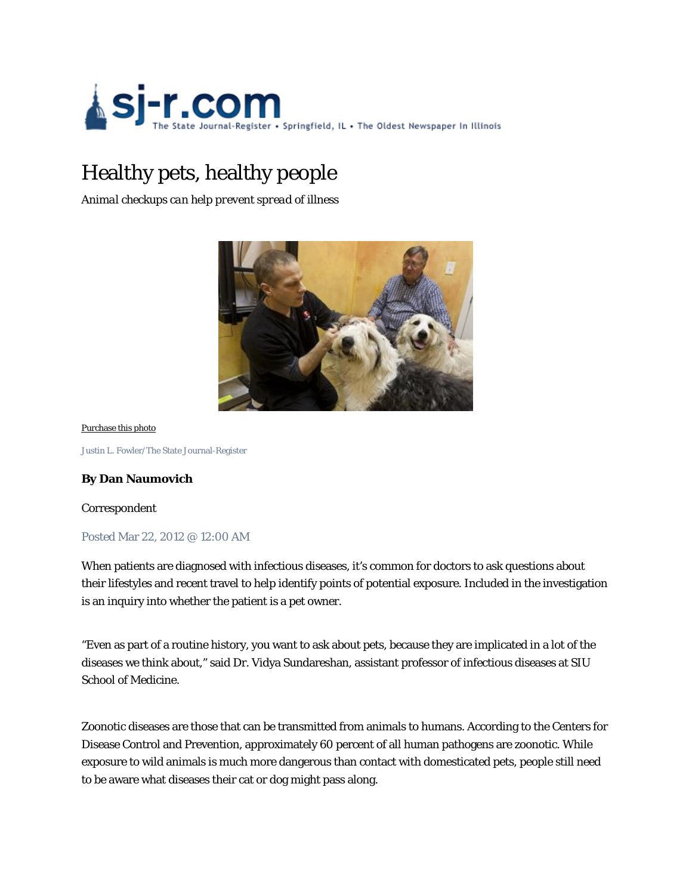

# Healthy pets, healthy people

*Animal checkups can help prevent spread of illness* 



Purchase this photo

Justin L. Fowler/The State Journal-Register

# **By Dan Naumovich**

Correspondent

### Posted Mar 22, 2012 @ 12:00 AM

When patients are diagnosed with infectious diseases, it's common for doctors to ask questions about their lifestyles and recent travel to help identify points of potential exposure. Included in the investigation is an inquiry into whether the patient is a pet owner.

"Even as part of a routine history, you want to ask about pets, because they are implicated in a lot of the diseases we think about," said Dr. Vidya Sundareshan, assistant professor of infectious diseases at SIU School of Medicine.

Zoonotic diseases are those that can be transmitted from animals to humans. According to the Centers for Disease Control and Prevention, approximately 60 percent of all human pathogens are zoonotic. While exposure to wild animals is much more dangerous than contact with domesticated pets, people still need to be aware what diseases their cat or dog might pass along.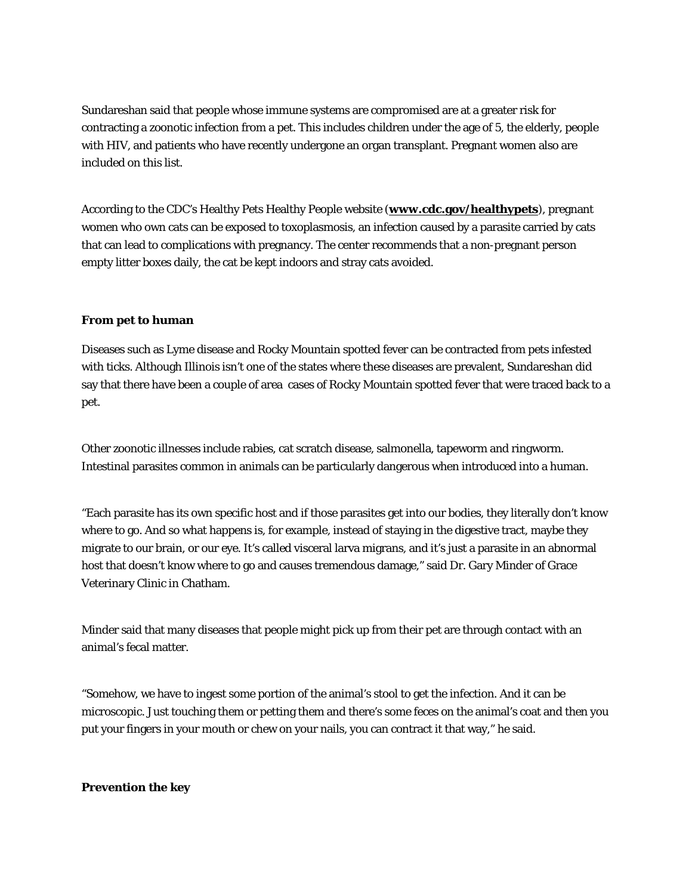Sundareshan said that people whose immune systems are compromised are at a greater risk for contracting a zoonotic infection from a pet. This includes children under the age of 5, the elderly, people with HIV, and patients who have recently undergone an organ transplant. Pregnant women also are included on this list.

According to the CDC's Healthy Pets Healthy People website (**www.cdc.gov/healthypets**), pregnant women who own cats can be exposed to toxoplasmosis, an infection caused by a parasite carried by cats that can lead to complications with pregnancy. The center recommends that a non-pregnant person empty litter boxes daily, the cat be kept indoors and stray cats avoided.

# **From pet to human**

Diseases such as Lyme disease and Rocky Mountain spotted fever can be contracted from pets infested with ticks. Although Illinois isn't one of the states where these diseases are prevalent, Sundareshan did say that there have been a couple of area cases of Rocky Mountain spotted fever that were traced back to a pet.

Other zoonotic illnesses include rabies, cat scratch disease, salmonella, tapeworm and ringworm. Intestinal parasites common in animals can be particularly dangerous when introduced into a human.

"Each parasite has its own specific host and if those parasites get into our bodies, they literally don't know where to go. And so what happens is, for example, instead of staying in the digestive tract, maybe they migrate to our brain, or our eye. It's called visceral larva migrans, and it's just a parasite in an abnormal host that doesn't know where to go and causes tremendous damage," said Dr. Gary Minder of Grace Veterinary Clinic in Chatham.

Minder said that many diseases that people might pick up from their pet are through contact with an animal's fecal matter.

"Somehow, we have to ingest some portion of the animal's stool to get the infection. And it can be microscopic. Just touching them or petting them and there's some feces on the animal's coat and then you put your fingers in your mouth or chew on your nails, you can contract it that way," he said.

# **Prevention the key**